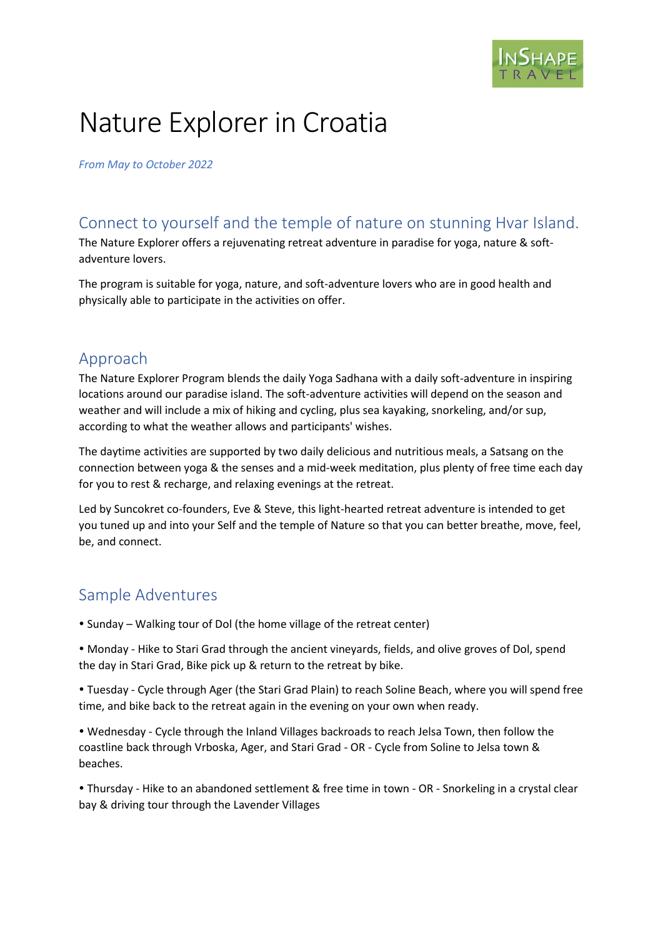

# Nature Explorer in Croatia

*From May to October 2022*

### Connect to yourself and the temple of nature on stunning Hvar Island.

The Nature Explorer offers a rejuvenating retreat adventure in paradise for yoga, nature & softadventure lovers.

The program is suitable for yoga, nature, and soft-adventure lovers who are in good health and physically able to participate in the activities on offer.

#### Approach

The Nature Explorer Program blends the daily Yoga Sadhana with a daily soft-adventure in inspiring locations around our paradise island. The soft-adventure activities will depend on the season and weather and will include a mix of hiking and cycling, plus sea kayaking, snorkeling, and/or sup, according to what the weather allows and participants' wishes.

The daytime activities are supported by two daily delicious and nutritious meals, a Satsang on the connection between yoga & the senses and a mid-week meditation, plus plenty of free time each day for you to rest & recharge, and relaxing evenings at the retreat.

Led by Suncokret co-founders, Eve & Steve, this light-hearted retreat adventure is intended to get you tuned up and into your Self and the temple of Nature so that you can better breathe, move, feel, be, and connect.

### Sample Adventures

- Sunday Walking tour of Dol (the home village of the retreat center)
- Monday Hike to Stari Grad through the ancient vineyards, fields, and olive groves of Dol, spend the day in Stari Grad, Bike pick up & return to the retreat by bike.

 Tuesday - Cycle through Ager (the Stari Grad Plain) to reach Soline Beach, where you will spend free time, and bike back to the retreat again in the evening on your own when ready.

 Wednesday - Cycle through the Inland Villages backroads to reach Jelsa Town, then follow the coastline back through Vrboska, Ager, and Stari Grad - OR - Cycle from Soline to Jelsa town & beaches.

 Thursday - Hike to an abandoned settlement & free time in town - OR - Snorkeling in a crystal clear bay & driving tour through the Lavender Villages